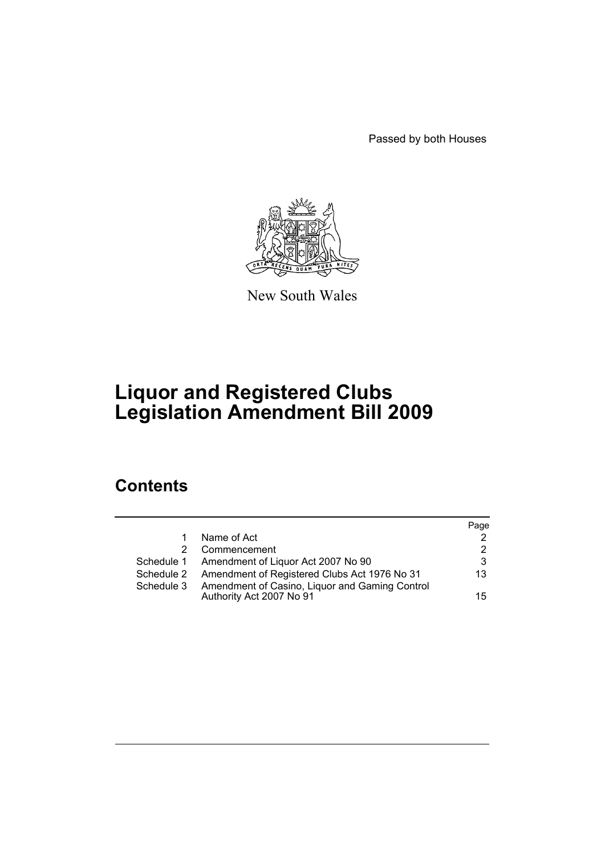Passed by both Houses



New South Wales

# **Liquor and Registered Clubs Legislation Amendment Bill 2009**

# **Contents**

|            |                                                                            | Page            |
|------------|----------------------------------------------------------------------------|-----------------|
| 1          | Name of Act                                                                | 2               |
| 2.         | Commencement                                                               | 2               |
|            | Schedule 1 Amendment of Liquor Act 2007 No 90                              | 3               |
|            | Schedule 2 Amendment of Registered Clubs Act 1976 No 31                    | 13              |
| Schedule 3 | Amendment of Casino, Liquor and Gaming Control<br>Authority Act 2007 No 91 | 15 <sub>1</sub> |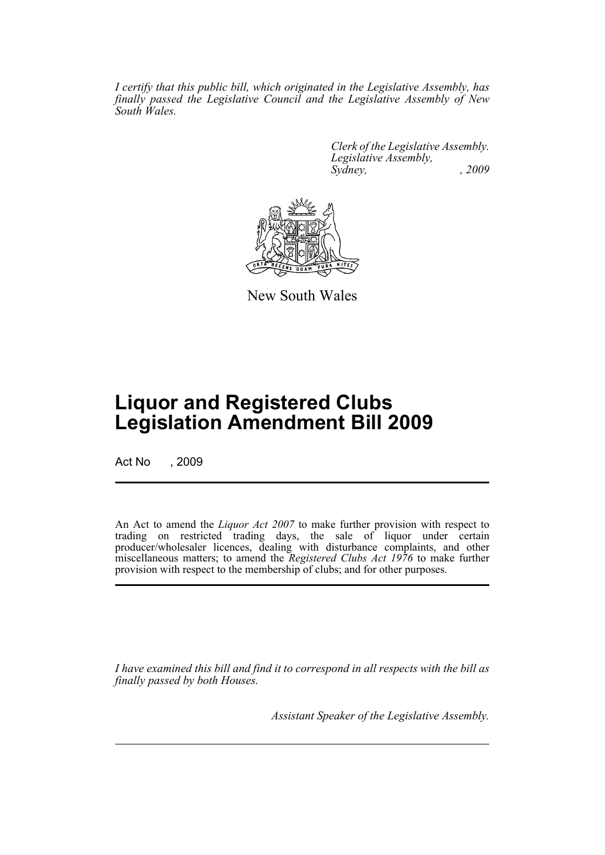*I certify that this public bill, which originated in the Legislative Assembly, has finally passed the Legislative Council and the Legislative Assembly of New South Wales.*

> *Clerk of the Legislative Assembly. Legislative Assembly, Sydney, , 2009*



New South Wales

# **Liquor and Registered Clubs Legislation Amendment Bill 2009**

Act No , 2009

An Act to amend the *Liquor Act 2007* to make further provision with respect to trading on restricted trading days, the sale of liquor under certain producer/wholesaler licences, dealing with disturbance complaints, and other miscellaneous matters; to amend the *Registered Clubs Act 1976* to make further provision with respect to the membership of clubs; and for other purposes.

*I have examined this bill and find it to correspond in all respects with the bill as finally passed by both Houses.*

*Assistant Speaker of the Legislative Assembly.*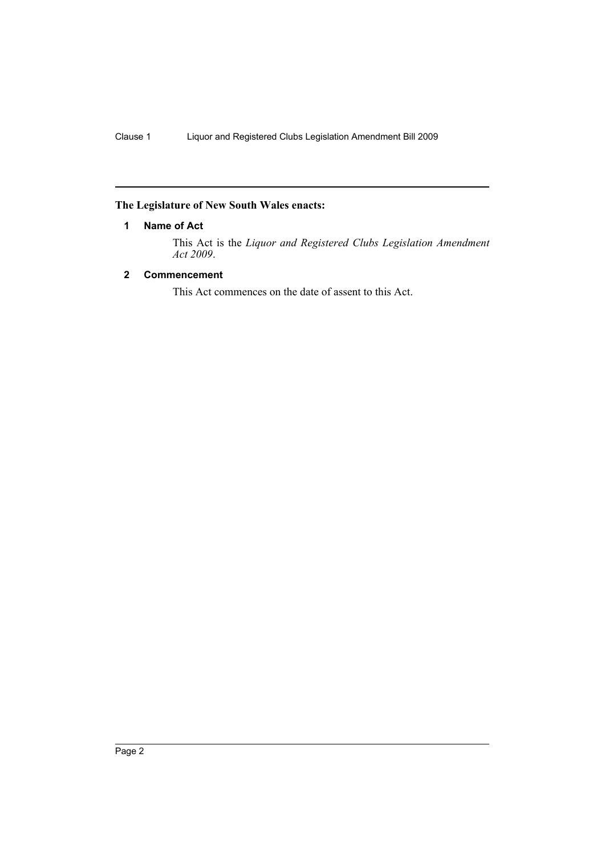# <span id="page-2-0"></span>**The Legislature of New South Wales enacts:**

# **1 Name of Act**

This Act is the *Liquor and Registered Clubs Legislation Amendment Act 2009*.

# <span id="page-2-1"></span>**2 Commencement**

This Act commences on the date of assent to this Act.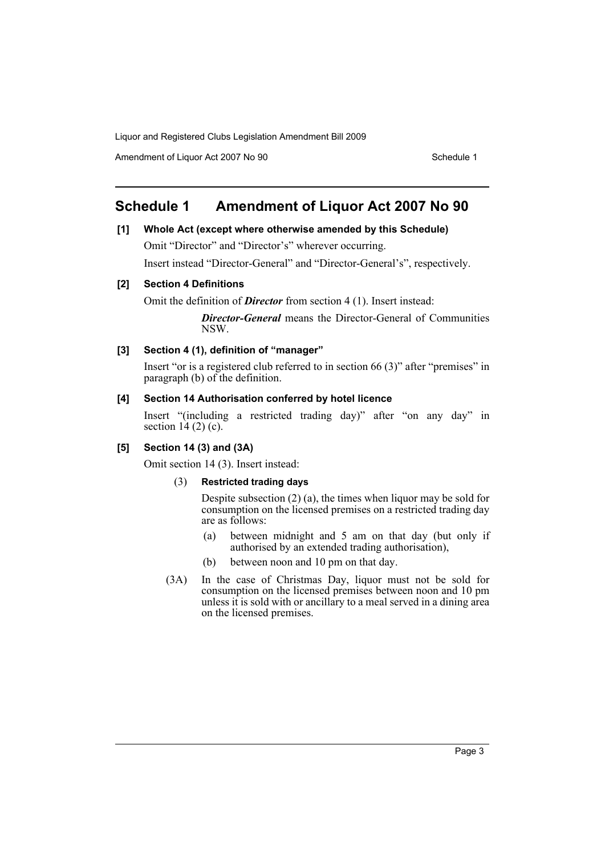Amendment of Liquor Act 2007 No 90 Schedule 1

# <span id="page-3-0"></span>**Schedule 1 Amendment of Liquor Act 2007 No 90**

## **[1] Whole Act (except where otherwise amended by this Schedule)**

Omit "Director" and "Director's" wherever occurring.

Insert instead "Director-General" and "Director-General's", respectively.

# **[2] Section 4 Definitions**

Omit the definition of *Director* from section 4 (1). Insert instead:

*Director-General* means the Director-General of Communities NSW.

# **[3] Section 4 (1), definition of "manager"**

Insert "or is a registered club referred to in section 66 (3)" after "premises" in paragraph (b) of the definition.

#### **[4] Section 14 Authorisation conferred by hotel licence**

Insert "(including a restricted trading day)" after "on any day" in section  $14(2)(c)$ .

## **[5] Section 14 (3) and (3A)**

Omit section 14 (3). Insert instead:

## (3) **Restricted trading days**

Despite subsection (2) (a), the times when liquor may be sold for consumption on the licensed premises on a restricted trading day are as follows:

- (a) between midnight and 5 am on that day (but only if authorised by an extended trading authorisation),
- (b) between noon and 10 pm on that day.
- (3A) In the case of Christmas Day, liquor must not be sold for consumption on the licensed premises between noon and 10 pm unless it is sold with or ancillary to a meal served in a dining area on the licensed premises.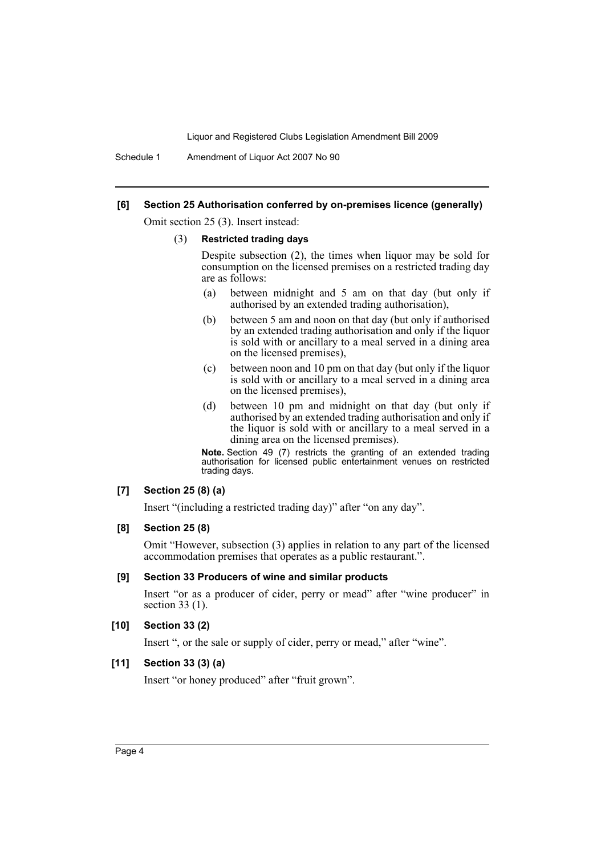Schedule 1 Amendment of Liquor Act 2007 No 90

#### **[6] Section 25 Authorisation conferred by on-premises licence (generally)**

Omit section 25 (3). Insert instead:

#### (3) **Restricted trading days**

Despite subsection (2), the times when liquor may be sold for consumption on the licensed premises on a restricted trading day are as follows:

- (a) between midnight and 5 am on that day (but only if authorised by an extended trading authorisation),
- (b) between 5 am and noon on that day (but only if authorised by an extended trading authorisation and only if the liquor is sold with or ancillary to a meal served in a dining area on the licensed premises),
- (c) between noon and 10 pm on that day (but only if the liquor is sold with or ancillary to a meal served in a dining area on the licensed premises),
- (d) between 10 pm and midnight on that day (but only if authorised by an extended trading authorisation and only if the liquor is sold with or ancillary to a meal served in a dining area on the licensed premises).

**Note.** Section 49 (7) restricts the granting of an extended trading authorisation for licensed public entertainment venues on restricted trading days.

#### **[7] Section 25 (8) (a)**

Insert "(including a restricted trading day)" after "on any day".

#### **[8] Section 25 (8)**

Omit "However, subsection (3) applies in relation to any part of the licensed accommodation premises that operates as a public restaurant.".

#### **[9] Section 33 Producers of wine and similar products**

Insert "or as a producer of cider, perry or mead" after "wine producer" in section 33 (1).

#### **[10] Section 33 (2)**

Insert ", or the sale or supply of cider, perry or mead," after "wine".

#### **[11] Section 33 (3) (a)**

Insert "or honey produced" after "fruit grown".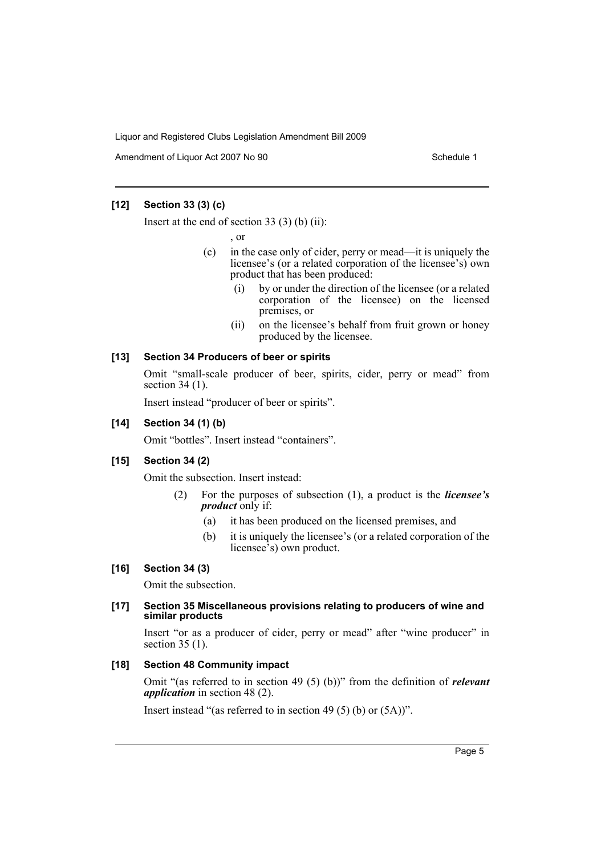Amendment of Liquor Act 2007 No 90 Schedule 1

#### **[12] Section 33 (3) (c)**

Insert at the end of section 33 (3) (b) (ii):

, or

- (c) in the case only of cider, perry or mead—it is uniquely the licensee's (or a related corporation of the licensee's) own product that has been produced:
	- (i) by or under the direction of the licensee (or a related corporation of the licensee) on the licensed premises, or
	- (ii) on the licensee's behalf from fruit grown or honey produced by the licensee.

# **[13] Section 34 Producers of beer or spirits**

Omit "small-scale producer of beer, spirits, cider, perry or mead" from section 34 (1).

Insert instead "producer of beer or spirits".

#### **[14] Section 34 (1) (b)**

Omit "bottles". Insert instead "containers".

## **[15] Section 34 (2)**

Omit the subsection. Insert instead:

- (2) For the purposes of subsection (1), a product is the *licensee's product* only if:
	- (a) it has been produced on the licensed premises, and
	- (b) it is uniquely the licensee's (or a related corporation of the licensee's) own product.

#### **[16] Section 34 (3)**

Omit the subsection.

#### **[17] Section 35 Miscellaneous provisions relating to producers of wine and similar products**

Insert "or as a producer of cider, perry or mead" after "wine producer" in section 35 (1).

#### **[18] Section 48 Community impact**

Omit "(as referred to in section 49 (5) (b))" from the definition of *relevant application* in section 48 (2).

Insert instead "(as referred to in section 49 (5) (b) or (5A))".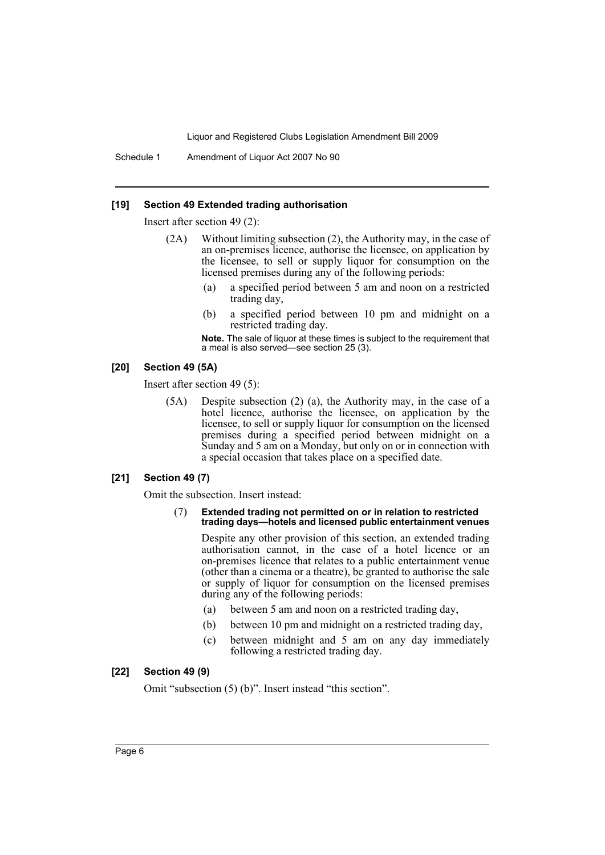Schedule 1 Amendment of Liquor Act 2007 No 90

#### **[19] Section 49 Extended trading authorisation**

Insert after section 49 (2):

- (2A) Without limiting subsection (2), the Authority may, in the case of an on-premises licence, authorise the licensee, on application by the licensee, to sell or supply liquor for consumption on the licensed premises during any of the following periods:
	- (a) a specified period between 5 am and noon on a restricted trading day,
	- (b) a specified period between 10 pm and midnight on a restricted trading day.

**Note.** The sale of liquor at these times is subject to the requirement that a meal is also served—see section 25 (3).

#### **[20] Section 49 (5A)**

Insert after section 49 (5):

(5A) Despite subsection (2) (a), the Authority may, in the case of a hotel licence, authorise the licensee, on application by the licensee, to sell or supply liquor for consumption on the licensed premises during a specified period between midnight on a Sunday and 5 am on a Monday, but only on or in connection with a special occasion that takes place on a specified date.

#### **[21] Section 49 (7)**

Omit the subsection. Insert instead:

#### (7) **Extended trading not permitted on or in relation to restricted trading days—hotels and licensed public entertainment venues**

Despite any other provision of this section, an extended trading authorisation cannot, in the case of a hotel licence or an on-premises licence that relates to a public entertainment venue (other than a cinema or a theatre), be granted to authorise the sale or supply of liquor for consumption on the licensed premises during any of the following periods:

- (a) between 5 am and noon on a restricted trading day,
- (b) between 10 pm and midnight on a restricted trading day,
- (c) between midnight and 5 am on any day immediately following a restricted trading day.

#### **[22] Section 49 (9)**

Omit "subsection (5) (b)". Insert instead "this section".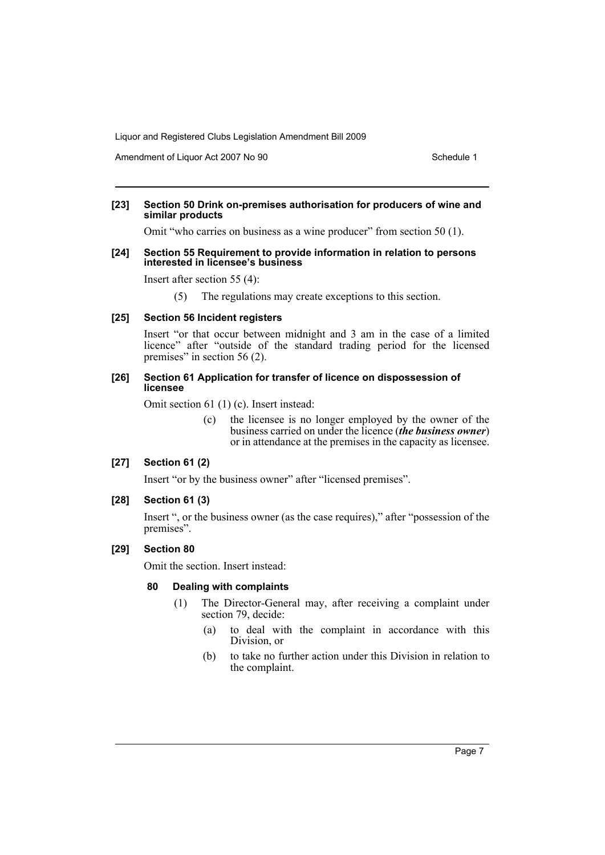Amendment of Liquor Act 2007 No 90 Schedule 1

#### **[23] Section 50 Drink on-premises authorisation for producers of wine and similar products**

Omit "who carries on business as a wine producer" from section 50 (1).

#### **[24] Section 55 Requirement to provide information in relation to persons interested in licensee's business**

Insert after section 55 (4):

(5) The regulations may create exceptions to this section.

#### **[25] Section 56 Incident registers**

Insert "or that occur between midnight and 3 am in the case of a limited licence" after "outside of the standard trading period for the licensed premises" in section 56 (2).

#### **[26] Section 61 Application for transfer of licence on dispossession of licensee**

Omit section 61 (1) (c). Insert instead:

(c) the licensee is no longer employed by the owner of the business carried on under the licence (*the business owner*) or in attendance at the premises in the capacity as licensee.

## **[27] Section 61 (2)**

Insert "or by the business owner" after "licensed premises".

#### **[28] Section 61 (3)**

Insert ", or the business owner (as the case requires)," after "possession of the premises".

#### **[29] Section 80**

Omit the section. Insert instead:

#### **80 Dealing with complaints**

- (1) The Director-General may, after receiving a complaint under section 79, decide:
	- (a) to deal with the complaint in accordance with this Division, or
	- (b) to take no further action under this Division in relation to the complaint.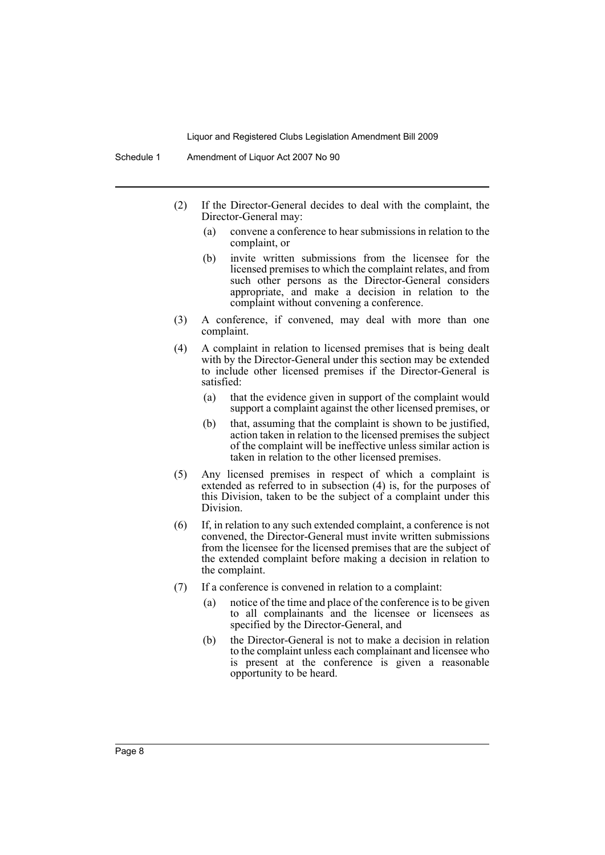- (2) If the Director-General decides to deal with the complaint, the Director-General may:
	- (a) convene a conference to hear submissions in relation to the complaint, or
	- (b) invite written submissions from the licensee for the licensed premises to which the complaint relates, and from such other persons as the Director-General considers appropriate, and make a decision in relation to the complaint without convening a conference.
- (3) A conference, if convened, may deal with more than one complaint.
- (4) A complaint in relation to licensed premises that is being dealt with by the Director-General under this section may be extended to include other licensed premises if the Director-General is satisfied:
	- (a) that the evidence given in support of the complaint would support a complaint against the other licensed premises, or
	- (b) that, assuming that the complaint is shown to be justified, action taken in relation to the licensed premises the subject of the complaint will be ineffective unless similar action is taken in relation to the other licensed premises.
- (5) Any licensed premises in respect of which a complaint is extended as referred to in subsection (4) is, for the purposes of this Division, taken to be the subject of a complaint under this Division.
- (6) If, in relation to any such extended complaint, a conference is not convened, the Director-General must invite written submissions from the licensee for the licensed premises that are the subject of the extended complaint before making a decision in relation to the complaint.
- (7) If a conference is convened in relation to a complaint:
	- (a) notice of the time and place of the conference is to be given to all complainants and the licensee or licensees as specified by the Director-General, and
	- (b) the Director-General is not to make a decision in relation to the complaint unless each complainant and licensee who is present at the conference is given a reasonable opportunity to be heard.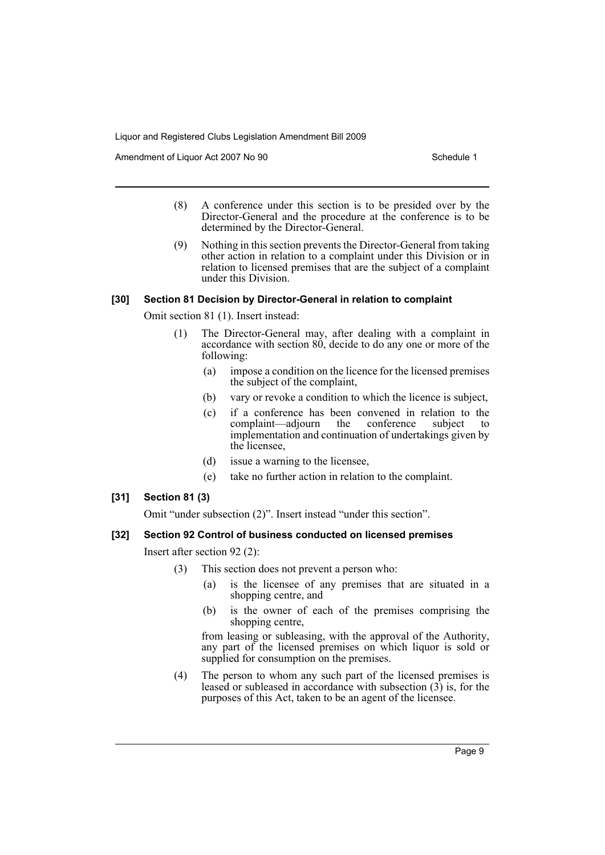Amendment of Liquor Act 2007 No 90 Schedule 1

- (8) A conference under this section is to be presided over by the Director-General and the procedure at the conference is to be determined by the Director-General.
- (9) Nothing in this section prevents the Director-General from taking other action in relation to a complaint under this Division or in relation to licensed premises that are the subject of a complaint under this Division.

#### **[30] Section 81 Decision by Director-General in relation to complaint**

Omit section 81 (1). Insert instead:

- (1) The Director-General may, after dealing with a complaint in accordance with section 80, decide to do any one or more of the following:
	- (a) impose a condition on the licence for the licensed premises the subject of the complaint,
	- (b) vary or revoke a condition to which the licence is subject,
	- (c) if a conference has been convened in relation to the complaint—adjourn the conference subject to implementation and continuation of undertakings given by the licensee,
	- (d) issue a warning to the licensee,
	- (e) take no further action in relation to the complaint.

## **[31] Section 81 (3)**

Omit "under subsection (2)". Insert instead "under this section".

## **[32] Section 92 Control of business conducted on licensed premises**

Insert after section 92 (2):

- (3) This section does not prevent a person who:
	- (a) is the licensee of any premises that are situated in a shopping centre, and
	- (b) is the owner of each of the premises comprising the shopping centre,

from leasing or subleasing, with the approval of the Authority, any part of the licensed premises on which liquor is sold or supplied for consumption on the premises.

(4) The person to whom any such part of the licensed premises is leased or subleased in accordance with subsection (3) is, for the purposes of this Act, taken to be an agent of the licensee.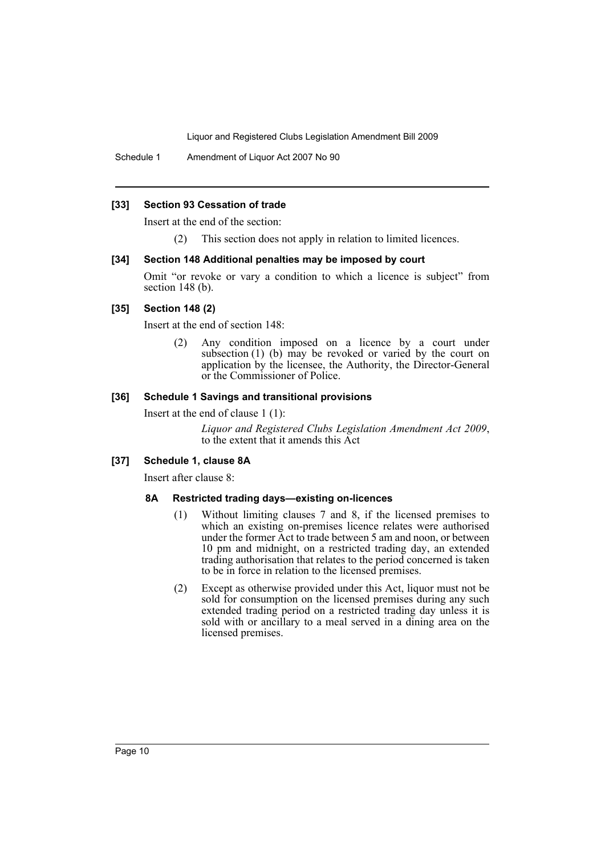Schedule 1 Amendment of Liquor Act 2007 No 90

#### **[33] Section 93 Cessation of trade**

Insert at the end of the section:

(2) This section does not apply in relation to limited licences.

#### **[34] Section 148 Additional penalties may be imposed by court**

Omit "or revoke or vary a condition to which a licence is subject" from section 148 (b).

## **[35] Section 148 (2)**

Insert at the end of section 148:

(2) Any condition imposed on a licence by a court under subsection (1) (b) may be revoked or varied by the court on application by the licensee, the Authority, the Director-General or the Commissioner of Police.

# **[36] Schedule 1 Savings and transitional provisions**

Insert at the end of clause 1 (1):

*Liquor and Registered Clubs Legislation Amendment Act 2009*, to the extent that it amends this Act

#### **[37] Schedule 1, clause 8A**

Insert after clause 8:

#### **8A Restricted trading days—existing on-licences**

- (1) Without limiting clauses 7 and 8, if the licensed premises to which an existing on-premises licence relates were authorised under the former Act to trade between 5 am and noon, or between 10 pm and midnight, on a restricted trading day, an extended trading authorisation that relates to the period concerned is taken to be in force in relation to the licensed premises.
- (2) Except as otherwise provided under this Act, liquor must not be sold for consumption on the licensed premises during any such extended trading period on a restricted trading day unless it is sold with or ancillary to a meal served in a dining area on the licensed premises.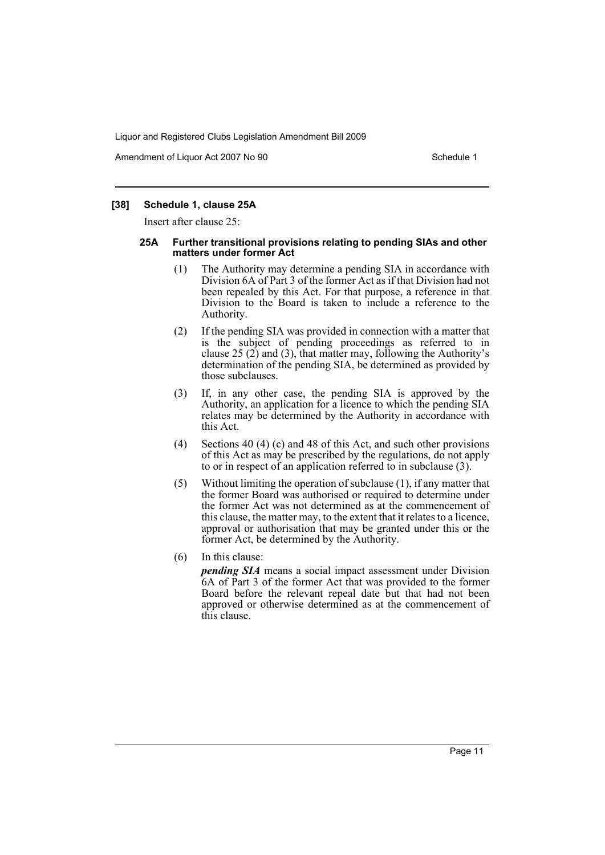Amendment of Liquor Act 2007 No 90 Schedule 1

#### **[38] Schedule 1, clause 25A**

Insert after clause 25:

#### **25A Further transitional provisions relating to pending SIAs and other matters under former Act**

- (1) The Authority may determine a pending SIA in accordance with Division 6A of Part 3 of the former Act as if that Division had not been repealed by this Act. For that purpose, a reference in that Division to the Board is taken to include a reference to the Authority.
- (2) If the pending SIA was provided in connection with a matter that is the subject of pending proceedings as referred to in clause 25  $(2)$  and  $(3)$ , that matter may, following the Authority's determination of the pending SIA, be determined as provided by those subclauses.
- (3) If, in any other case, the pending SIA is approved by the Authority, an application for a licence to which the pending SIA relates may be determined by the Authority in accordance with this Act.
- (4) Sections 40 (4) (c) and 48 of this Act, and such other provisions of this Act as may be prescribed by the regulations, do not apply to or in respect of an application referred to in subclause (3).
- (5) Without limiting the operation of subclause (1), if any matter that the former Board was authorised or required to determine under the former Act was not determined as at the commencement of this clause, the matter may, to the extent that it relates to a licence, approval or authorisation that may be granted under this or the former Act, be determined by the Authority.
- (6) In this clause:

*pending SIA* means a social impact assessment under Division 6A of Part 3 of the former Act that was provided to the former Board before the relevant repeal date but that had not been approved or otherwise determined as at the commencement of this clause.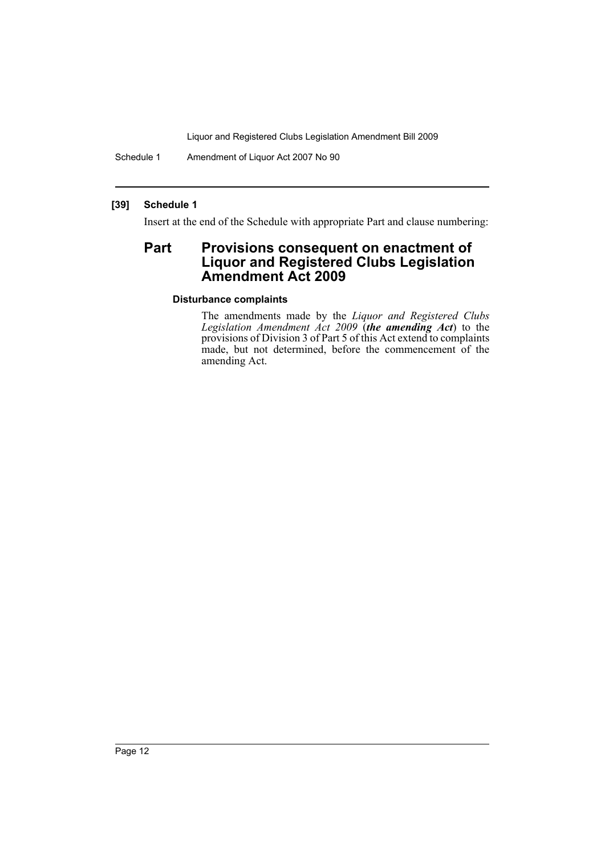Schedule 1 Amendment of Liquor Act 2007 No 90

## **[39] Schedule 1**

Insert at the end of the Schedule with appropriate Part and clause numbering:

# **Part Provisions consequent on enactment of Liquor and Registered Clubs Legislation Amendment Act 2009**

#### **Disturbance complaints**

The amendments made by the *Liquor and Registered Clubs Legislation Amendment Act 2009* (*the amending Act*) to the provisions of Division 3 of Part 5 of this Act extend to complaints made, but not determined, before the commencement of the amending Act.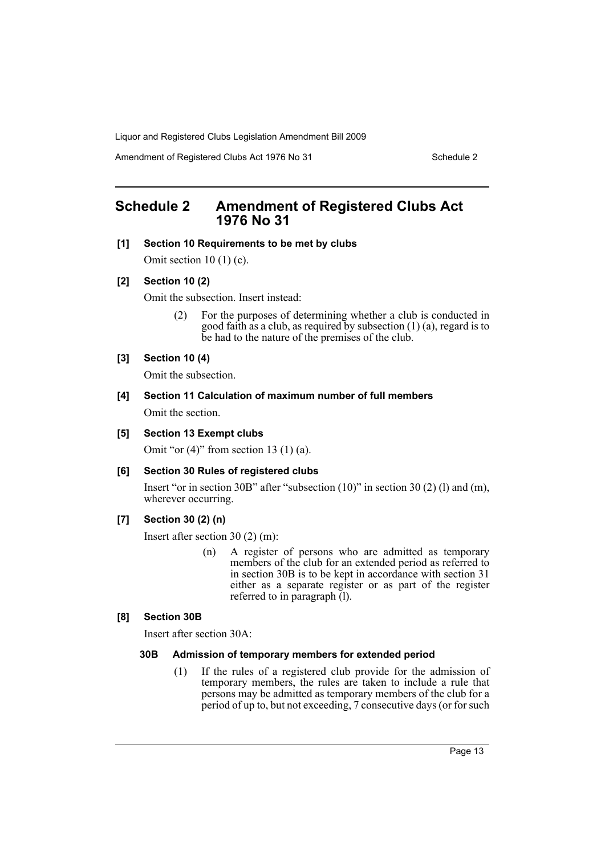Amendment of Registered Clubs Act 1976 No 31 Schedule 2

# <span id="page-13-0"></span>**Schedule 2 Amendment of Registered Clubs Act 1976 No 31**

## **[1] Section 10 Requirements to be met by clubs**

Omit section  $10(1)(c)$ .

## **[2] Section 10 (2)**

Omit the subsection. Insert instead:

(2) For the purposes of determining whether a club is conducted in good faith as a club, as required by subsection (1) (a), regard is to be had to the nature of the premises of the club.

## **[3] Section 10 (4)**

Omit the subsection.

# **[4] Section 11 Calculation of maximum number of full members** Omit the section.

## **[5] Section 13 Exempt clubs**

Omit "or  $(4)$ " from section 13  $(1)$   $(a)$ .

**[6] Section 30 Rules of registered clubs**

Insert "or in section 30B" after "subsection (10)" in section 30 (2) (l) and (m), wherever occurring.

## **[7] Section 30 (2) (n)**

Insert after section 30 (2) (m):

(n) A register of persons who are admitted as temporary members of the club for an extended period as referred to in section 30B is to be kept in accordance with section 31 either as a separate register or as part of the register referred to in paragraph (l).

## **[8] Section 30B**

Insert after section 30A:

#### **30B Admission of temporary members for extended period**

(1) If the rules of a registered club provide for the admission of temporary members, the rules are taken to include a rule that persons may be admitted as temporary members of the club for a period of up to, but not exceeding, 7 consecutive days (or for such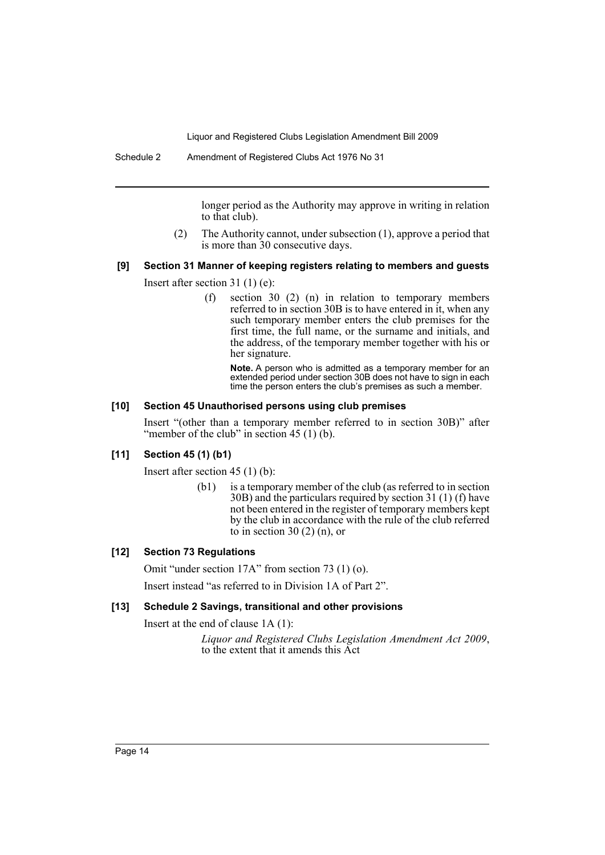longer period as the Authority may approve in writing in relation to that club).

(2) The Authority cannot, under subsection (1), approve a period that is more than 30 consecutive days.

# **[9] Section 31 Manner of keeping registers relating to members and guests**

Insert after section 31 (1) (e):

(f) section 30 (2) (n) in relation to temporary members referred to in section 30B is to have entered in it, when any such temporary member enters the club premises for the first time, the full name, or the surname and initials, and the address, of the temporary member together with his or her signature.

**Note.** A person who is admitted as a temporary member for an extended period under section 30B does not have to sign in each time the person enters the club's premises as such a member.

#### **[10] Section 45 Unauthorised persons using club premises**

Insert "(other than a temporary member referred to in section 30B)" after "member of the club" in section  $45(1)(b)$ .

#### **[11] Section 45 (1) (b1)**

Insert after section 45 (1) (b):

(b1) is a temporary member of the club (as referred to in section 30B) and the particulars required by section 31 (1) (f) have not been entered in the register of temporary members kept by the club in accordance with the rule of the club referred to in section  $30(2)(n)$ , or

#### **[12] Section 73 Regulations**

Omit "under section 17A" from section 73 (1) (o).

Insert instead "as referred to in Division 1A of Part 2".

#### **[13] Schedule 2 Savings, transitional and other provisions**

Insert at the end of clause 1A (1):

*Liquor and Registered Clubs Legislation Amendment Act 2009*, to the extent that it amends this Act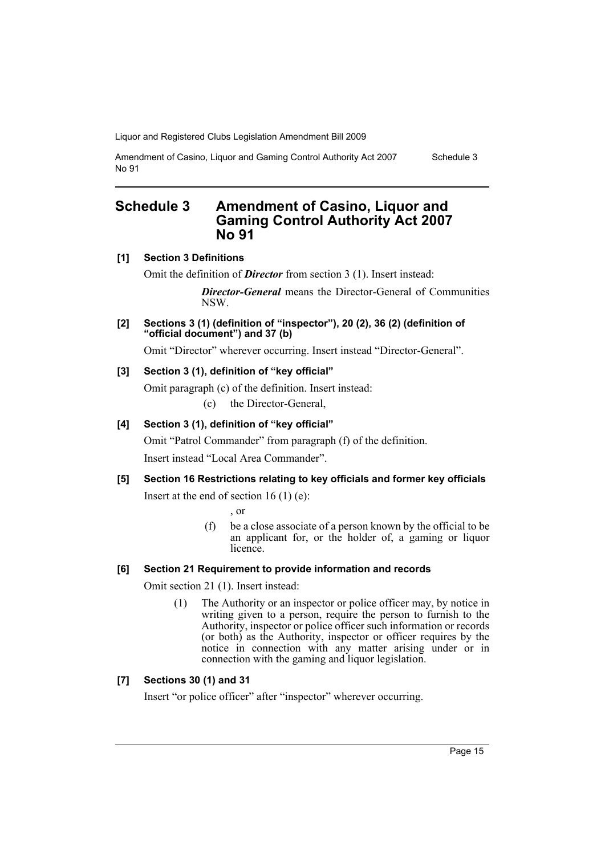Amendment of Casino, Liquor and Gaming Control Authority Act 2007 No 91

Schedule 3

# <span id="page-15-0"></span>**Schedule 3 Amendment of Casino, Liquor and Gaming Control Authority Act 2007 No 91**

# **[1] Section 3 Definitions**

Omit the definition of *Director* from section 3 (1). Insert instead:

*Director-General* means the Director-General of Communities NSW.

**[2] Sections 3 (1) (definition of "inspector"), 20 (2), 36 (2) (definition of "official document") and 37 (b)**

Omit "Director" wherever occurring. Insert instead "Director-General".

# **[3] Section 3 (1), definition of "key official"**

Omit paragraph (c) of the definition. Insert instead:

(c) the Director-General,

# **[4] Section 3 (1), definition of "key official"**

Omit "Patrol Commander" from paragraph (f) of the definition.

Insert instead "Local Area Commander".

**[5] Section 16 Restrictions relating to key officials and former key officials** Insert at the end of section  $16(1)$  (e):

, or

(f) be a close associate of a person known by the official to be an applicant for, or the holder of, a gaming or liquor *licence* 

# **[6] Section 21 Requirement to provide information and records**

Omit section 21 (1). Insert instead:

(1) The Authority or an inspector or police officer may, by notice in writing given to a person, require the person to furnish to the Authority, inspector or police officer such information or records (or both) as the Authority, inspector or officer requires by the notice in connection with any matter arising under or in connection with the gaming and liquor legislation.

# **[7] Sections 30 (1) and 31**

Insert "or police officer" after "inspector" wherever occurring.